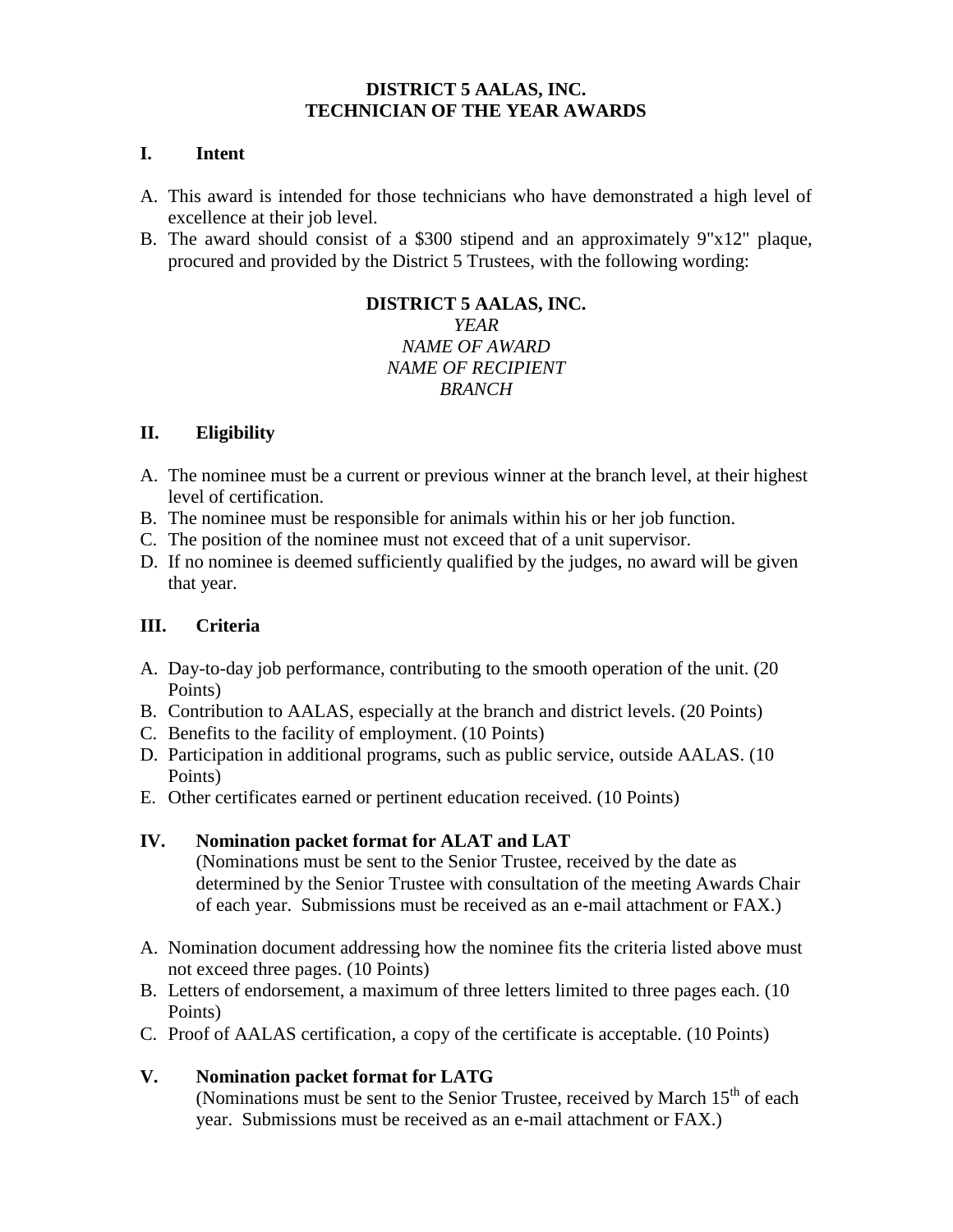#### **DISTRICT 5 AALAS, INC. TECHNICIAN OF THE YEAR AWARDS**

### **I. Intent**

- A. This award is intended for those technicians who have demonstrated a high level of excellence at their job level.
- B. The award should consist of a \$300 stipend and an approximately 9"x12" plaque, procured and provided by the District 5 Trustees, with the following wording:

#### **DISTRICT 5 AALAS, INC.** *YEAR NAME OF AWARD NAME OF RECIPIENT BRANCH*

## **II. Eligibility**

- A. The nominee must be a current or previous winner at the branch level, at their highest level of certification.
- B. The nominee must be responsible for animals within his or her job function.
- C. The position of the nominee must not exceed that of a unit supervisor.
- D. If no nominee is deemed sufficiently qualified by the judges, no award will be given that year.

## **III. Criteria**

- A. Day-to-day job performance, contributing to the smooth operation of the unit. (20 Points)
- B. Contribution to AALAS, especially at the branch and district levels. (20 Points)
- C. Benefits to the facility of employment. (10 Points)
- D. Participation in additional programs, such as public service, outside AALAS. (10 Points)
- E. Other certificates earned or pertinent education received. (10 Points)

# **IV. Nomination packet format for ALAT and LAT**

(Nominations must be sent to the Senior Trustee, received by the date as determined by the Senior Trustee with consultation of the meeting Awards Chair of each year. Submissions must be received as an e-mail attachment or FAX.)

- A. Nomination document addressing how the nominee fits the criteria listed above must not exceed three pages. (10 Points)
- B. Letters of endorsement, a maximum of three letters limited to three pages each. (10 Points)
- C. Proof of AALAS certification, a copy of the certificate is acceptable. (10 Points)

# **V. Nomination packet format for LATG**

(Nominations must be sent to the Senior Trustee, received by March  $15<sup>th</sup>$  of each year. Submissions must be received as an e-mail attachment or FAX.)